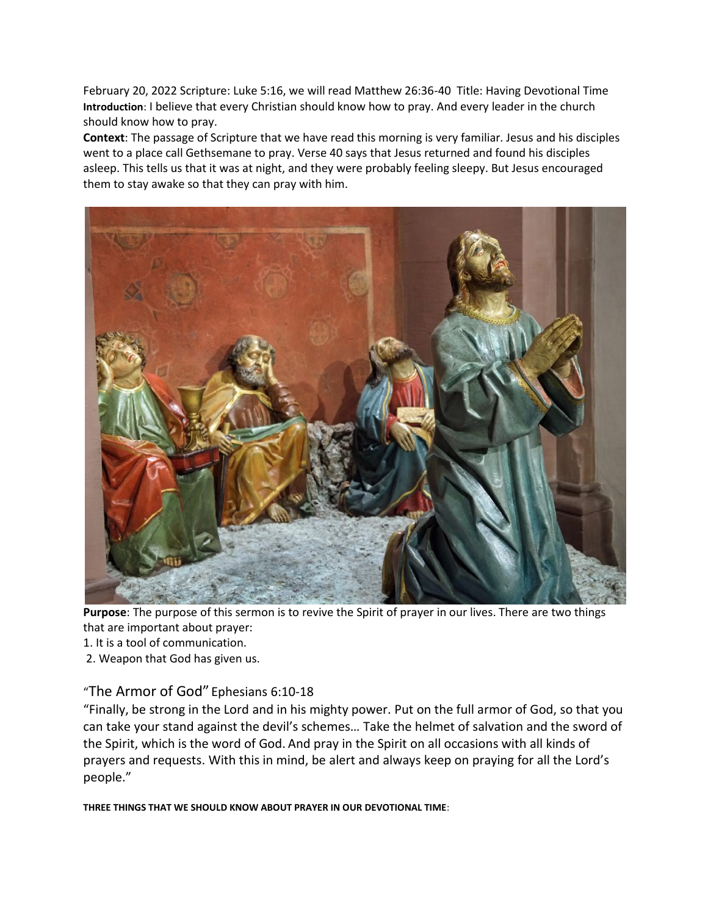February 20, 2022 Scripture: Luke 5:16, we will read Matthew 26:36-40 Title: Having Devotional Time **Introduction**: I believe that every Christian should know how to pray. And every leader in the church should know how to pray.

**Context**: The passage of Scripture that we have read this morning is very familiar. Jesus and his disciples went to a place call Gethsemane to pray. Verse 40 says that Jesus returned and found his disciples asleep. This tells us that it was at night, and they were probably feeling sleepy. But Jesus encouraged them to stay awake so that they can pray with him.



**Purpose**: The purpose of this sermon is to revive the Spirit of prayer in our lives. There are two things that are important about prayer:

- 1. It is a tool of communication.
- 2. Weapon that God has given us.

## "The Armor of God" Ephesians 6:10-18

"Finally, be strong in the Lord and in his mighty power. Put on the full armor of God, so that you can take your stand against the devil's schemes… Take the helmet of salvation and the sword of the Spirit, which is the word of God. And pray in the Spirit on all occasions with all kinds of prayers and requests. With this in mind, be alert and always keep on praying for all the Lord's people."

**THREE THINGS THAT WE SHOULD KNOW ABOUT PRAYER IN OUR DEVOTIONAL TIME**: